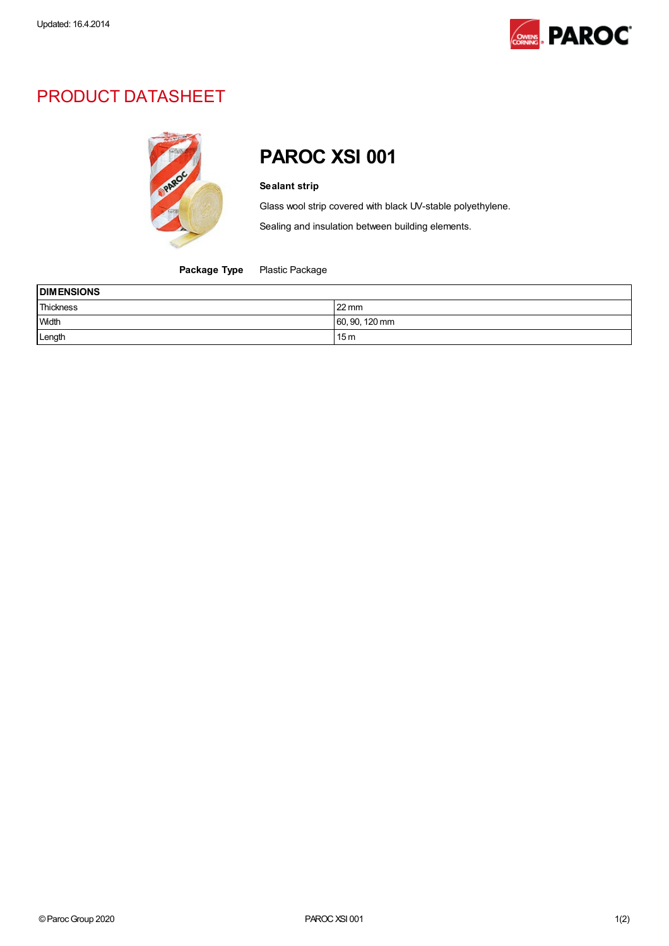

## PRODUCT DATASHEET



## PAROC XSI 001

## Sealant strip

Glass wool strip covered with black UV-stable polyethylene.

Sealing and insulation between building elements.

Package Type Plastic Package

| <b>DIMENSIONS</b> |                 |  |
|-------------------|-----------------|--|
| Thickness         | $22 \text{ mm}$ |  |
| Width             | 60, 90, 120 mm  |  |
| Length            | 15m             |  |